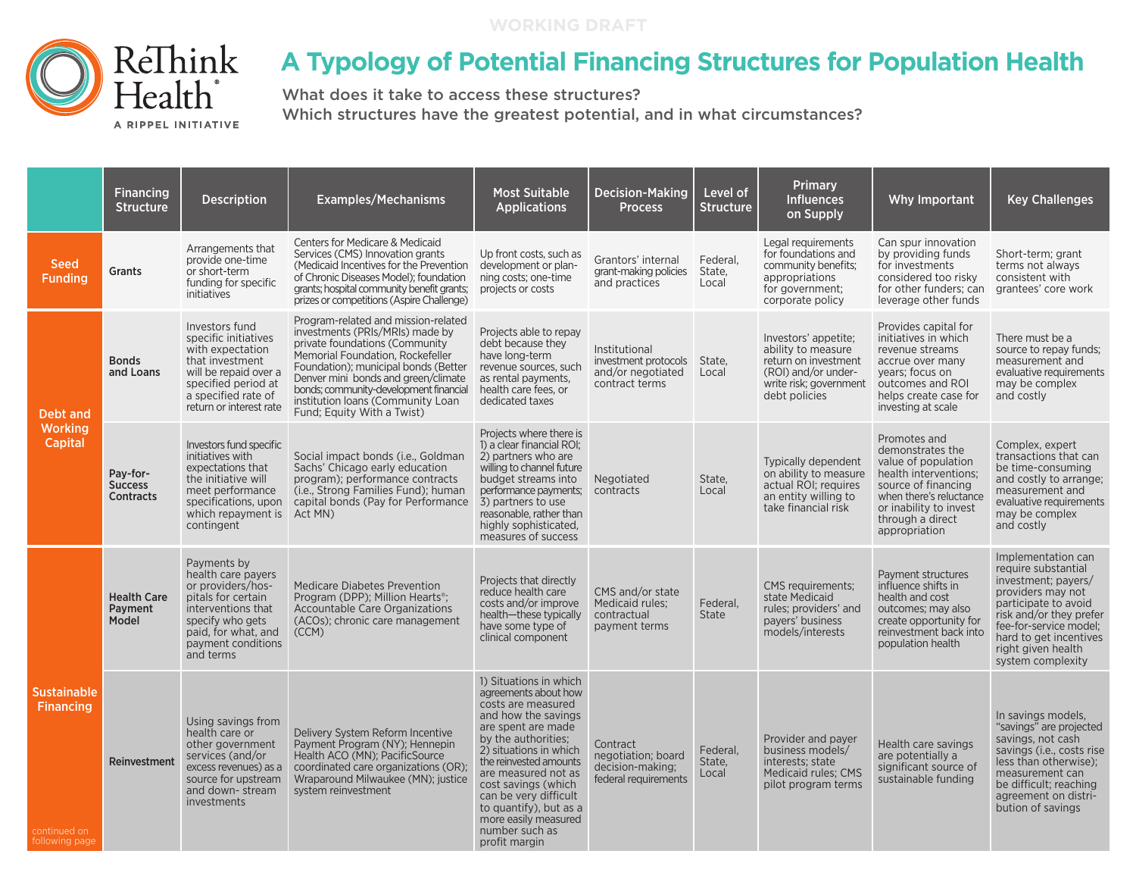

## **A Typology of Potential Financing Structures for Population Health**

What does it take to access these structures? Which structures have the greatest potential, and in what circumstances?

|                                                                          | <b>Financing</b><br><b>Structure</b>           | <b>Description</b>                                                                                                                                                               | <b>Examples/Mechanisms</b>                                                                                                                                                                                                                                                                                                                | <b>Most Suitable</b><br><b>Applications</b>                                                                                                                                                                                                                                                                                                              | <b>Decision-Making</b><br><b>Process</b>                                     | Level of<br><b>Structure</b> | Primary<br><b>Influences</b><br>on Supply                                                                                            | Why Important                                                                                                                                                                                     | <b>Key Challenges</b>                                                                                                                                                                                                                   |
|--------------------------------------------------------------------------|------------------------------------------------|----------------------------------------------------------------------------------------------------------------------------------------------------------------------------------|-------------------------------------------------------------------------------------------------------------------------------------------------------------------------------------------------------------------------------------------------------------------------------------------------------------------------------------------|----------------------------------------------------------------------------------------------------------------------------------------------------------------------------------------------------------------------------------------------------------------------------------------------------------------------------------------------------------|------------------------------------------------------------------------------|------------------------------|--------------------------------------------------------------------------------------------------------------------------------------|---------------------------------------------------------------------------------------------------------------------------------------------------------------------------------------------------|-----------------------------------------------------------------------------------------------------------------------------------------------------------------------------------------------------------------------------------------|
| Seed<br><b>Funding</b>                                                   | Grants                                         | Arrangements that<br>provide one-time<br>or short-term<br>funding for specific<br>initiatives                                                                                    | <b>Centers for Medicare &amp; Medicaid</b><br>Services (CMS) Innovation grants<br>(Medicaid Incentives for the Prevention<br>of Chronic Diseases Model); foundation<br>grants: hospital community benefit grants:<br>prizes or competitions (Aspire Challenge)                                                                            | Up front costs, such as<br>development or plan-<br>ning costs; one-time<br>projects or costs                                                                                                                                                                                                                                                             | Grantors' internal<br>grant-making policies<br>and practices                 | Federal.<br>State,<br>Local  | Legal requirements<br>for foundations and<br>community benefits;<br>appropriations<br>for government;<br>corporate policy            | Can spur innovation<br>by providing funds<br>for investments<br>considered too risky<br>for other funders: can<br>leverage other funds                                                            | Short-term; grant<br>terms not always<br>consistent with<br>grantees' core work                                                                                                                                                         |
| Debt and<br><b>Working</b><br>Capital                                    | <b>Bonds</b><br>and Loans                      | Investors fund<br>specific initiatives<br>with expectation<br>that investment<br>will be repaid over a<br>specified period at<br>a specified rate of<br>return or interest rate  | Program-related and mission-related<br>investments (PRIs/MRIs) made by<br>private foundations (Community)<br>Memorial Foundation, Rockefeller<br>Foundation); municipal bonds (Better<br>Denver mini bonds and green/climate<br>bonds; community-development financial<br>institution loans (Community Loan<br>Fund; Equity With a Twist) | Projects able to repay<br>debt because they<br>have long-term<br>revenue sources, such<br>as rental payments,<br>health care fees, or<br>dedicated taxes                                                                                                                                                                                                 | Institutional<br>investment protocols<br>and/or negotiated<br>contract terms | State,<br>Local              | Investors' appetite;<br>ability to measure<br>return on investment<br>(ROI) and/or under-<br>write risk; government<br>debt policies | Provides capital for<br>initiatives in which<br>revenue streams<br>accrue over many<br>years; focus on<br>outcomes and ROI<br>helps create case for<br>investing at scale                         | There must be a<br>source to repay funds;<br>measurement and<br>evaluative requirements<br>may be complex<br>and costly                                                                                                                 |
|                                                                          | Pay-for-<br><b>Success</b><br><b>Contracts</b> | Investors fund specific<br>initiatives with<br>expectations that<br>the initiative will<br>meet performance<br>specifications, upon<br>which repayment is<br>contingent          | Social impact bonds (i.e., Goldman<br>Sachs' Chicago early education<br>program); performance contracts<br>(i.e., Strong Families Fund); human<br>capital bonds (Pay for Performance<br>Act MN)                                                                                                                                           | Projects where there is<br>1) a clear financial ROI;<br>2) partners who are<br>willing to channel future<br>budget streams into<br>performance payments;<br>3) partners to use<br>reasonable, rather than<br>highly sophisticated.<br>measures of success                                                                                                | Negotiated<br>contracts                                                      | State,<br>Local              | Typically dependent<br>on ability to measure<br>actual ROI; requires<br>an entity willing to<br>take financial risk                  | Promotes and<br>demonstrates the<br>value of population<br>health interventions;<br>source of financing<br>when there's reluctance<br>or inability to invest<br>through a direct<br>appropriation | Complex, expert<br>transactions that can<br>be time-consuming<br>and costly to arrange;<br>measurement and<br>evaluative requirements<br>may be complex<br>and costly                                                                   |
| <b>Sustainable</b><br><b>Financing</b><br>continued on<br>following page | <b>Health Care</b><br>Payment<br>Model         | Payments by<br>health care payers<br>or providers/hos-<br>pitals for certain<br>interventions that<br>specify who gets<br>paid, for what, and<br>payment conditions<br>and terms | <b>Medicare Diabetes Prevention</b><br>Program (DPP); Million Hearts <sup>®</sup> ;<br>Accountable Care Organizations<br>(ACOs); chronic care management<br>(CCM)                                                                                                                                                                         | Projects that directly<br>reduce health care<br>costs and/or improve<br>health-these typically<br>have some type of<br>clinical component                                                                                                                                                                                                                | CMS and/or state<br>Medicaid rules:<br>contractual<br>payment terms          | Federal.<br><b>State</b>     | <b>CMS</b> requirements:<br>state Medicaid<br>rules; providers' and<br>payers' business<br>models/interests                          | Payment structures<br>influence shifts in<br>health and cost<br>outcomes; may also<br>create opportunity for<br>reinvestment back into<br>population health                                       | Implementation can<br>require substantial<br>investment; payers/<br>providers may not<br>participate to avoid<br>risk and/or they prefer<br>fee-for-service model;<br>hard to get incentives<br>right given health<br>system complexity |
|                                                                          | Reinvestment                                   | Using savings from<br>health care or<br>other government<br>services (and/or<br>source for upstream<br>and down-stream<br>investments                                            | Delivery System Reform Incentive<br>Payment Program (NY); Hennepin<br>Health ACO (MN); PacificSource<br>excess revenues) as a coordinated care organizations (OR);<br>Wraparound Milwaukee (MN); justice<br>system reinvestment                                                                                                           | 1) Situations in which<br>agreements about how<br>costs are measured<br>and how the savings<br>are spent are made<br>by the authorities;<br>2) situations in which<br>the reinvested amounts<br>are measured not as<br>cost savings (which<br>can be very difficult<br>to quantify), but as a<br>more easily measured<br>number such as<br>profit margin | Contract<br>negotiation; board<br>decision-making;<br>federal requirements   | Federal.<br>State,<br>Local  | Provider and payer<br>business models/<br>interests: state<br>Medicaid rules: CMS<br>pilot program terms                             | Health care savings<br>are potentially a<br>significant source of<br>sustainable funding                                                                                                          | In savings models,<br>"savings" are projected<br>savings, not cash<br>savings (i.e., costs rise<br>less than otherwise);<br>measurement can<br>be difficult; reaching<br>agreement on distri-<br>bution of savings                      |